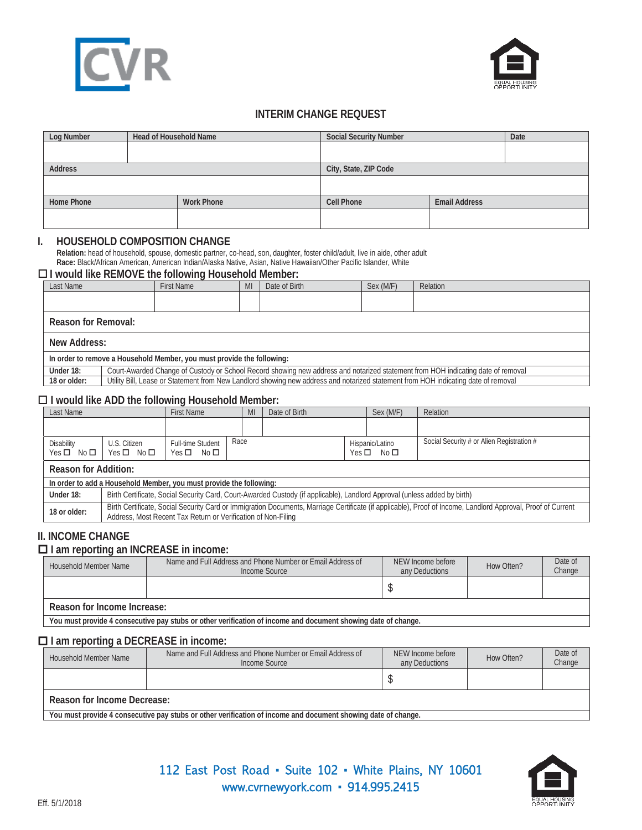



# **INTERIM CHANGE REQUEST**

| Log Number                             | <b>Head of Household Name</b> |                                           | <b>Social Security Number</b> |  | Date |  |  |
|----------------------------------------|-------------------------------|-------------------------------------------|-------------------------------|--|------|--|--|
|                                        |                               |                                           |                               |  |      |  |  |
|                                        |                               |                                           |                               |  |      |  |  |
| <b>Address</b>                         |                               |                                           | City, State, ZIP Code         |  |      |  |  |
|                                        |                               |                                           |                               |  |      |  |  |
|                                        |                               |                                           |                               |  |      |  |  |
| <b>Home Phone</b><br><b>Work Phone</b> |                               | <b>Email Address</b><br><b>Cell Phone</b> |                               |  |      |  |  |
|                                        |                               |                                           |                               |  |      |  |  |
|                                        |                               |                                           |                               |  |      |  |  |

#### **I. HOUSEHOLD COMPOSITION CHANGE**

**Relation:** head of household, spouse, domestic partner, co-head, son, daughter, foster child/adult, live in aide, other adult **Race:** Black/African American, American Indian/Alaska Native, Asian, Native Hawaiian/Other Pacific Islander, White

### **I would like REMOVE the following Household Member:**

| Last Name                                                              |                                                                                                                                    | First Name | MI | Date of Birth | Sex (M/F) | Relation |
|------------------------------------------------------------------------|------------------------------------------------------------------------------------------------------------------------------------|------------|----|---------------|-----------|----------|
|                                                                        |                                                                                                                                    |            |    |               |           |          |
|                                                                        |                                                                                                                                    |            |    |               |           |          |
|                                                                        | Reason for Removal:                                                                                                                |            |    |               |           |          |
|                                                                        | New Address:                                                                                                                       |            |    |               |           |          |
| In order to remove a Household Member, you must provide the following: |                                                                                                                                    |            |    |               |           |          |
| Under 18:                                                              | Court-Awarded Change of Custody or School Record showing new address and notarized statement from HOH indicating date of removal   |            |    |               |           |          |
| 18 or older:                                                           | Utility Bill, Lease or Statement from New Landlord showing new address and notarized statement from HOH indicating date of removal |            |    |               |           |          |

#### **I would like ADD the following Household Member:**

| Last Name                        |                                                                                                                                                                                                                               | <b>First Name</b>                       |      | MI | Date of Birth                         |  | Sex (M/F) | Relation                                  |
|----------------------------------|-------------------------------------------------------------------------------------------------------------------------------------------------------------------------------------------------------------------------------|-----------------------------------------|------|----|---------------------------------------|--|-----------|-------------------------------------------|
|                                  |                                                                                                                                                                                                                               |                                         |      |    |                                       |  |           |                                           |
| Disability<br>$Yes \Box No \Box$ | U.S. Citizen<br>$Yes \Box No \Box$                                                                                                                                                                                            | Full-time Student<br>$Yes \Box No \Box$ | Race |    | Hispanic/Latino<br>$Yes \Box No \Box$ |  |           | Social Security # or Alien Registration # |
|                                  | <b>Reason for Addition:</b>                                                                                                                                                                                                   |                                         |      |    |                                       |  |           |                                           |
|                                  | In order to add a Household Member, you must provide the following:                                                                                                                                                           |                                         |      |    |                                       |  |           |                                           |
| Under 18:                        | Birth Certificate, Social Security Card, Court-Awarded Custody (if applicable), Landlord Approval (unless added by birth)                                                                                                     |                                         |      |    |                                       |  |           |                                           |
| 18 or older:                     | Birth Certificate, Social Security Card or Immigration Documents, Marriage Certificate (if applicable), Proof of Income, Landlord Approval, Proof of Current<br>Address, Most Recent Tax Return or Verification of Non-Filing |                                         |      |    |                                       |  |           |                                           |

# **II. INCOME CHANGE**

# **I am reporting an INCREASE in income:**

| Household Member Name                                                                                         | Name and Full Address and Phone Number or Email Address of<br>NEW Income before<br>any Deductions<br>Income Source |  | How Often? | Date of<br>Change |  |  |  |
|---------------------------------------------------------------------------------------------------------------|--------------------------------------------------------------------------------------------------------------------|--|------------|-------------------|--|--|--|
|                                                                                                               |                                                                                                                    |  |            |                   |  |  |  |
| Reason for Income Increase:                                                                                   |                                                                                                                    |  |            |                   |  |  |  |
| You must provide 4 consecutive pay stubs or other verification of income and document showing date of change. |                                                                                                                    |  |            |                   |  |  |  |

### **I am reporting a DECREASE in income:**

| Household Member Name                                                                                         | Name and Full Address and Phone Number or Email Address of<br>Income Source | NEW Income before<br>any Deductions | How Often? | Date of<br>Change |  |  |  |
|---------------------------------------------------------------------------------------------------------------|-----------------------------------------------------------------------------|-------------------------------------|------------|-------------------|--|--|--|
|                                                                                                               |                                                                             |                                     |            |                   |  |  |  |
| Reason for Income Decrease:                                                                                   |                                                                             |                                     |            |                   |  |  |  |
| You must provide 4 consecutive pay stubs or other verification of income and document showing date of change. |                                                                             |                                     |            |                   |  |  |  |

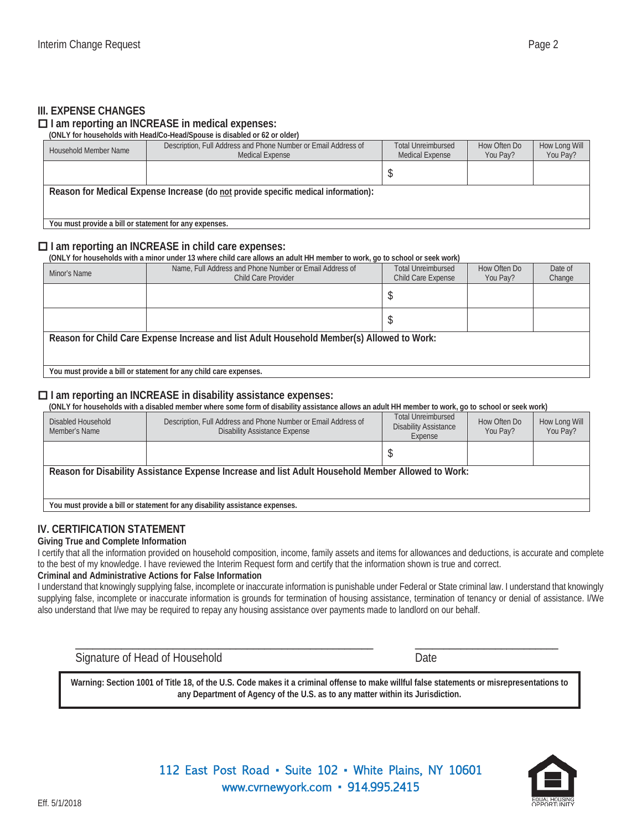## **III. EXPENSE CHANGES**

#### **I am reporting an INCREASE in medical expenses:**

#### **(ONLY for households with Head/Co-Head/Spouse is disabled or 62 or older)**

| Household Member Name                                                              | Description, Full Address and Phone Number or Email Address of<br><b>Medical Expense</b> | <b>Total Unreimbursed</b><br><b>Medical Expense</b> | How Often Do<br>You Pay? | How Long Will<br>You Pay? |  |  |
|------------------------------------------------------------------------------------|------------------------------------------------------------------------------------------|-----------------------------------------------------|--------------------------|---------------------------|--|--|
|                                                                                    |                                                                                          |                                                     |                          |                           |  |  |
| Reason for Medical Expense Increase (do not provide specific medical information): |                                                                                          |                                                     |                          |                           |  |  |
|                                                                                    |                                                                                          |                                                     |                          |                           |  |  |
| You must provide a bill or statement for any expenses.                             |                                                                                          |                                                     |                          |                           |  |  |

## **I am reporting an INCREASE in child care expenses:**

**(ONLY for households with a minor under 13 where child care allows an adult HH member to work, go to school or seek work)** 

| Minor's Name                                                                               | Name, Full Address and Phone Number or Email Address of<br><b>Child Care Provider</b> | <b>Total Unreimbursed</b><br>Child Care Expense | How Often Do<br>You Pay? | Date of<br>Change |  |  |  |
|--------------------------------------------------------------------------------------------|---------------------------------------------------------------------------------------|-------------------------------------------------|--------------------------|-------------------|--|--|--|
|                                                                                            |                                                                                       |                                                 |                          |                   |  |  |  |
|                                                                                            |                                                                                       |                                                 |                          |                   |  |  |  |
| Reason for Child Care Expense Increase and list Adult Household Member(s) Allowed to Work: |                                                                                       |                                                 |                          |                   |  |  |  |
| You must provide a bill or statement for any child care expenses.                          |                                                                                       |                                                 |                          |                   |  |  |  |

### **I am reporting an INCREASE in disability assistance expenses:**

**(ONLY for households with a disabled member where some form of disability assistance allows an adult HH member to work, go to school or seek work)** 

| Disabled Household<br>Member's Name                                                                | Description, Full Address and Phone Number or Email Address of<br><b>Disability Assistance Expense</b> | <b>Total Unreimbursed</b><br><b>Disability Assistance</b><br>Expense | How Often Do<br>You Pay? | How Long Will<br>You Pay? |  |  |  |
|----------------------------------------------------------------------------------------------------|--------------------------------------------------------------------------------------------------------|----------------------------------------------------------------------|--------------------------|---------------------------|--|--|--|
|                                                                                                    |                                                                                                        |                                                                      |                          |                           |  |  |  |
| Reason for Disability Assistance Expense Increase and list Adult Household Member Allowed to Work: |                                                                                                        |                                                                      |                          |                           |  |  |  |
|                                                                                                    |                                                                                                        |                                                                      |                          |                           |  |  |  |
| You must provide a bill or statement for any disability assistance expenses.                       |                                                                                                        |                                                                      |                          |                           |  |  |  |

# **IV. CERTIFICATION STATEMENT**

#### **Giving True and Complete Information**

I certify that all the information provided on household composition, income, family assets and items for allowances and deductions, is accurate and complete to the best of my knowledge. I have reviewed the Interim Request form and certify that the information shown is true and correct.

#### **Criminal and Administrative Actions for False Information**

I understand that knowingly supplying false, incomplete or inaccurate information is punishable under Federal or State criminal law. I understand that knowingly supplying false, incomplete or inaccurate information is grounds for termination of housing assistance, termination of tenancy or denial of assistance. I/We also understand that I/we may be required to repay any housing assistance over payments made to landlord on our behalf.

Signature of Head of Household Date

**Warning: Section 1001 of Title 18, of the U.S. Code makes it a criminal offense to make willful false statements or misrepresentations to any Department of Agency of the U.S. as to any matter within its Jurisdiction.**

\_\_\_\_\_\_\_\_\_\_\_\_\_\_\_\_\_\_\_\_\_\_\_\_\_\_\_\_\_\_\_\_\_\_\_\_\_\_\_\_\_\_\_\_\_\_\_\_\_\_\_\_ \_\_\_\_\_\_\_\_\_\_\_\_\_\_\_\_\_\_\_\_\_\_\_\_\_